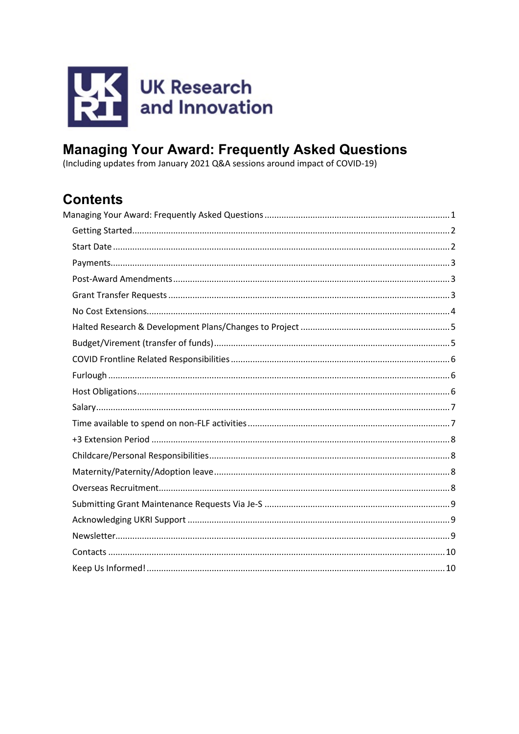

# <span id="page-0-0"></span>**Managing Your Award: Frequently Asked Questions**

(Including updates from January 2021 Q&A sessions around impact of COVID-19)

## **Contents**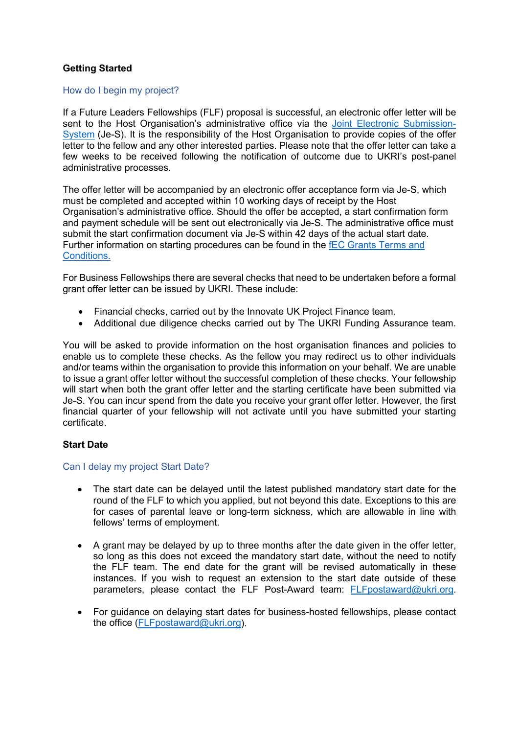## <span id="page-1-0"></span>**Getting Started**

#### How do I begin my project?

If a Future Leaders Fellowships (FLF) proposal is successful, an electronic offer letter will be sent to the Host Organisation's administrative office via the [Joint Electronic Submission-](https://je-s.rcuk.ac.uk/Handbook/Index.htm#t=pages%2FJeSHelpdesk.htm)[System](https://je-s.rcuk.ac.uk/Handbook/Index.htm#t=pages%2FJeSHelpdesk.htm) (Je-S). It is the responsibility of the Host Organisation to provide copies of the offer letter to the fellow and any other interested parties. Please note that the offer letter can take a few weeks to be received following the notification of outcome due to UKRI's post-panel administrative processes.

The offer letter will be accompanied by an electronic offer acceptance form via Je-S, which must be completed and accepted within 10 working days of receipt by the Host Organisation's administrative office. Should the offer be accepted, a start confirmation form and payment schedule will be sent out electronically via Je-S. The administrative office must submit the start confirmation document via Je-S within 42 days of the actual start date. Further information on starting procedures can be found in the [fEC Grants Terms and](https://www.ukri.org/apply-for-funding/before-you-apply/your-responsibilities-if-you-get-funding/meeting-ukri-terms-and-conditions-for-funding/#contents-list)  [Conditions.](https://www.ukri.org/apply-for-funding/before-you-apply/your-responsibilities-if-you-get-funding/meeting-ukri-terms-and-conditions-for-funding/#contents-list)

For Business Fellowships there are several checks that need to be undertaken before a formal grant offer letter can be issued by UKRI. These include:

- Financial checks, carried out by the Innovate UK Project Finance team.
- Additional due diligence checks carried out by The UKRI Funding Assurance team.

You will be asked to provide information on the host organisation finances and policies to enable us to complete these checks. As the fellow you may redirect us to other individuals and/or teams within the organisation to provide this information on your behalf. We are unable to issue a grant offer letter without the successful completion of these checks. Your fellowship will start when both the grant offer letter and the starting certificate have been submitted via Je-S. You can incur spend from the date you receive your grant offer letter. However, the first financial quarter of your fellowship will not activate until you have submitted your starting certificate.

## <span id="page-1-1"></span>**Start Date**

#### Can I delay my project Start Date?

- The start date can be delayed until the latest published mandatory start date for the round of the FLF to which you applied, but not beyond this date. Exceptions to this are for cases of parental leave or long-term sickness, which are allowable in line with fellows' terms of employment.
- A grant may be delayed by up to three months after the date given in the offer letter, so long as this does not exceed the mandatory start date, without the need to notify the FLF team. The end date for the grant will be revised automatically in these instances. If you wish to request an extension to the start date outside of these parameters, please contact the FLF Post-Award team: [FLFpostaward@ukri.org.](mailto:FLFpostaward@ukri.org)
- For guidance on delaying start dates for business-hosted fellowships, please contact the office [\(FLFpostaward@ukri.org\)](mailto:FLFpostaward@ukri.org).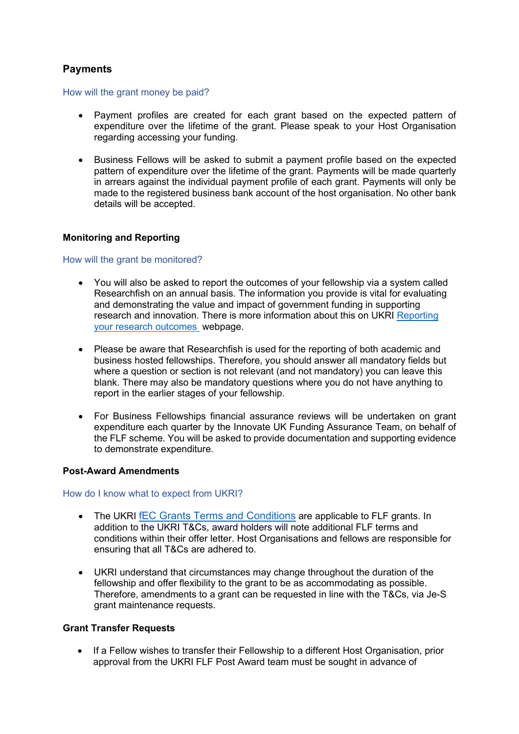## <span id="page-2-0"></span>**Payments**

#### How will the grant money be paid?

- Payment profiles are created for each grant based on the expected pattern of expenditure over the lifetime of the grant. Please speak to your Host Organisation regarding accessing your funding.
- Business Fellows will be asked to submit a payment profile based on the expected pattern of expenditure over the lifetime of the grant. Payments will be made quarterly in arrears against the individual payment profile of each grant. Payments will only be made to the registered business bank account of the host organisation. No other bank details will be accepted.

## **Monitoring and Reporting**

#### How will the grant be monitored?

- You will also be asked to report the outcomes of your fellowship via a system called Researchfish on an annual basis. The information you provide is vital for evaluating and demonstrating the value and impact of government funding in supporting research and innovation. There is more information about this on UKRI [Reporting](https://www.ukri.org/apply-for-funding/manage-your-funding-award/report-your-research-outcomes/)  [your research outcomes](https://www.ukri.org/apply-for-funding/manage-your-funding-award/report-your-research-outcomes/) webpage.
- Please be aware that Researchfish is used for the reporting of both academic and business hosted fellowships. Therefore, you should answer all mandatory fields but where a question or section is not relevant (and not mandatory) you can leave this blank. There may also be mandatory questions where you do not have anything to report in the earlier stages of your fellowship.
- For Business Fellowships financial assurance reviews will be undertaken on grant expenditure each quarter by the Innovate UK Funding Assurance Team, on behalf of the FLF scheme. You will be asked to provide documentation and supporting evidence to demonstrate expenditure.

#### <span id="page-2-1"></span>**Post-Award Amendments**

#### How do I know what to expect from UKRI?

- The UKRI [fEC Grants Terms and Conditions](https://www.ukri.org/apply-for-funding/before-you-apply/your-responsibilities-if-you-get-funding/meeting-ukri-terms-and-conditions-for-funding/#contents-list) are applicable to FLF grants. In addition to the UKRI T&Cs, award holders will note additional FLF terms and conditions within their offer letter. Host Organisations and fellows are responsible for ensuring that all T&Cs are adhered to.
- UKRI understand that circumstances may change throughout the duration of the fellowship and offer flexibility to the grant to be as accommodating as possible. Therefore, amendments to a grant can be requested in line with the T&Cs, via Je-S grant maintenance requests.

#### <span id="page-2-2"></span>**Grant Transfer Requests**

• If a Fellow wishes to transfer their Fellowship to a different Host Organisation, prior approval from the UKRI FLF Post Award team must be sought in advance of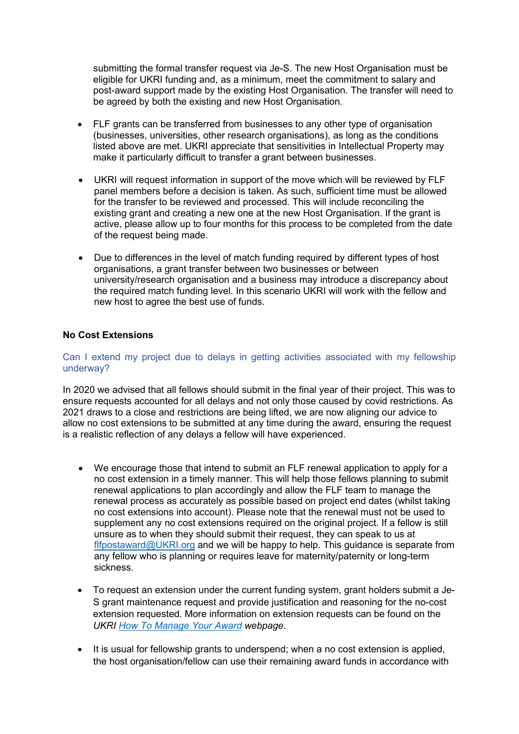submitting the formal transfer request via Je-S. The new Host Organisation must be eligible for UKRI funding and, as a minimum, meet the commitment to salary and post-award support made by the existing Host Organisation. The transfer will need to be agreed by both the existing and new Host Organisation.

- FLF grants can be transferred from businesses to any other type of organisation (businesses, universities, other research organisations), as long as the conditions listed above are met. UKRI appreciate that sensitivities in Intellectual Property may make it particularly difficult to transfer a grant between businesses.
- UKRI will request information in support of the move which will be reviewed by FLF panel members before a decision is taken. As such, sufficient time must be allowed for the transfer to be reviewed and processed. This will include reconciling the existing grant and creating a new one at the new Host Organisation. If the grant is active, please allow up to four months for this process to be completed from the date of the request being made.
- Due to differences in the level of match funding required by different types of host organisations, a grant transfer between two businesses or between university/research organisation and a business may introduce a discrepancy about the required match funding level. In this scenario UKRI will work with the fellow and new host to agree the best use of funds.

## <span id="page-3-0"></span>**No Cost Extensions**

#### Can I extend my project due to delays in getting activities associated with my fellowship underway?

In 2020 we advised that all fellows should submit in the final year of their project. This was to ensure requests accounted for all delays and not only those caused by covid restrictions. As 2021 draws to a close and restrictions are being lifted, we are now aligning our advice to allow no cost extensions to be submitted at any time during the award, ensuring the request is a realistic reflection of any delays a fellow will have experienced.

- We encourage those that intend to submit an FLF renewal application to apply for a no cost extension in a timely manner. This will help those fellows planning to submit renewal applications to plan accordingly and allow the FLF team to manage the renewal process as accurately as possible based on project end dates (whilst taking no cost extensions into account). Please note that the renewal must not be used to supplement any no cost extensions required on the original project. If a fellow is still unsure as to when they should submit their request, they can speak to us at [flfpostaward@UKRI.org](mailto:flfpostaward@UKRI.org) and we will be happy to help. This guidance is separate from any fellow who is planning or requires leave for maternity/paternity or long-term sickness.
- To request an extension under the current funding system, grant holders submit a Je-S grant maintenance request and provide justification and reasoning for the no-cost extension requested. More information on extension requests can be found on the *UKRI [How To Manage Your Award](https://www.ukri.org/apply-for-funding/manage-your-funding-award/#Extensions) webpage*.
- It is usual for fellowship grants to underspend; when a no cost extension is applied, the host organisation/fellow can use their remaining award funds in accordance with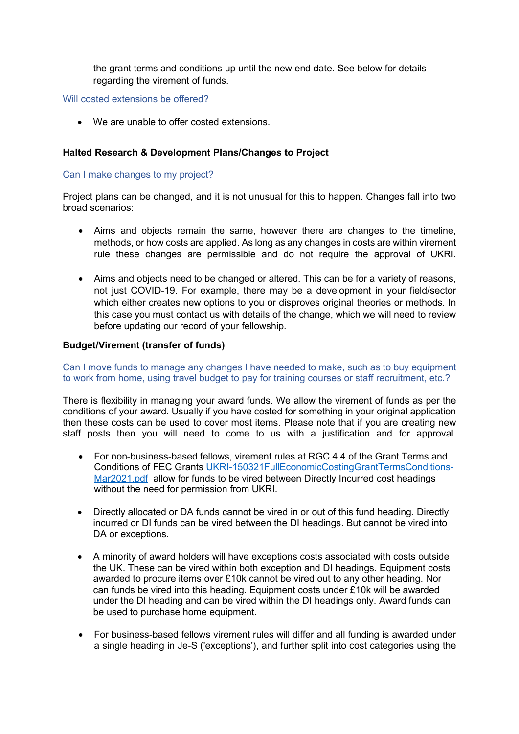the grant terms and conditions up until the new end date. See below for details regarding the virement of funds.

Will costed extensions be offered?

• We are unable to offer costed extensions.

## <span id="page-4-0"></span>**Halted Research & Development Plans/Changes to Project**

#### Can I make changes to my project?

Project plans can be changed, and it is not unusual for this to happen. Changes fall into two broad scenarios:

- Aims and objects remain the same, however there are changes to the timeline, methods, or how costs are applied. As long as any changes in costs are within virement rule these changes are permissible and do not require the approval of UKRI.
- Aims and objects need to be changed or altered. This can be for a variety of reasons, not just COVID-19. For example, there may be a development in your field/sector which either creates new options to you or disproves original theories or methods. In this case you must contact us with details of the change, which we will need to review before updating our record of your fellowship.

#### <span id="page-4-1"></span>**Budget/Virement (transfer of funds)**

Can I move funds to manage any changes I have needed to make, such as to buy equipment to work from home, using travel budget to pay for training courses or staff recruitment, etc.?

There is flexibility in managing your award funds. We allow the virement of funds as per the conditions of your award. Usually if you have costed for something in your original application then these costs can be used to cover most items. Please note that if you are creating new staff posts then you will need to come to us with a justification and for approval.

- For non-business-based fellows, virement rules at RGC 4.4 of the Grant Terms and Conditions of FEC Grants [UKRI-150321FullEconomicCostingGrantTermsConditions-](https://www.ukri.org/wp-content/uploads/2021/03/UKRI-150321-FullEconomicCostingGrantTermsConditions-Mar2021.pdf)[Mar2021.pdf](https://www.ukri.org/wp-content/uploads/2021/03/UKRI-150321-FullEconomicCostingGrantTermsConditions-Mar2021.pdf) allow for funds to be vired between Directly Incurred cost headings without the need for permission from UKRI.
- Directly allocated or DA funds cannot be vired in or out of this fund heading. Directly incurred or DI funds can be vired between the DI headings. But cannot be vired into DA or exceptions.
- A minority of award holders will have exceptions costs associated with costs outside the UK. These can be vired within both exception and DI headings. Equipment costs awarded to procure items over £10k cannot be vired out to any other heading. Nor can funds be vired into this heading. Equipment costs under £10k will be awarded under the DI heading and can be vired within the DI headings only. Award funds can be used to purchase home equipment.
- For business-based fellows virement rules will differ and all funding is awarded under a single heading in Je-S ('exceptions'), and further split into cost categories using the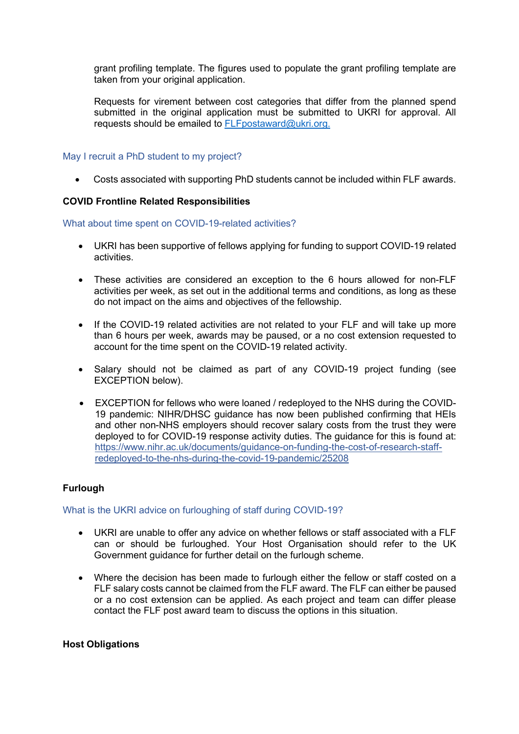grant profiling template. The figures used to populate the grant profiling template are taken from your original application.

Requests for virement between cost categories that differ from the planned spend submitted in the original application must be submitted to UKRI for approval. All requests should be emailed to [FLFpostaward@ukri.org.](mailto:FLFpostaward@ukri.org)

### May I recruit a PhD student to my project?

• Costs associated with supporting PhD students cannot be included within FLF awards.

#### <span id="page-5-0"></span>**COVID Frontline Related Responsibilities**

What about time spent on COVID-19-related activities?

- UKRI has been supportive of fellows applying for funding to support COVID-19 related activities.
- These activities are considered an exception to the 6 hours allowed for non-FLF activities per week, as set out in the additional terms and conditions, as long as these do not impact on the aims and objectives of the fellowship.
- If the COVID-19 related activities are not related to your FLF and will take up more than 6 hours per week, awards may be paused, or a no cost extension requested to account for the time spent on the COVID-19 related activity.
- Salary should not be claimed as part of any COVID-19 project funding (see EXCEPTION below).
- EXCEPTION for fellows who were loaned / redeployed to the NHS during the COVID-19 pandemic: NIHR/DHSC guidance has now been published confirming that HEIs and other non-NHS employers should recover salary costs from the trust they were deployed to for COVID-19 response activity duties. The guidance for this is found at: [https://www.nihr.ac.uk/documents/guidance-on-funding-the-cost-of-research-staff](https://www.nihr.ac.uk/documents/guidance-on-funding-the-cost-of-research-staff-redeployed-to-the-nhs-during-the-covid-19-pandemic/25208)[redeployed-to-the-nhs-during-the-covid-19-pandemic/25208](https://www.nihr.ac.uk/documents/guidance-on-funding-the-cost-of-research-staff-redeployed-to-the-nhs-during-the-covid-19-pandemic/25208)

## <span id="page-5-1"></span>**Furlough**

#### What is the UKRI advice on furloughing of staff during COVID-19?

- UKRI are unable to offer any advice on whether fellows or staff associated with a FLF can or should be furloughed. Your Host Organisation should refer to the UK Government guidance for further detail on the furlough scheme.
- Where the decision has been made to furlough either the fellow or staff costed on a FLF salary costs cannot be claimed from the FLF award. The FLF can either be paused or a no cost extension can be applied. As each project and team can differ please contact the FLF post award team to discuss the options in this situation.

#### <span id="page-5-2"></span>**Host Obligations**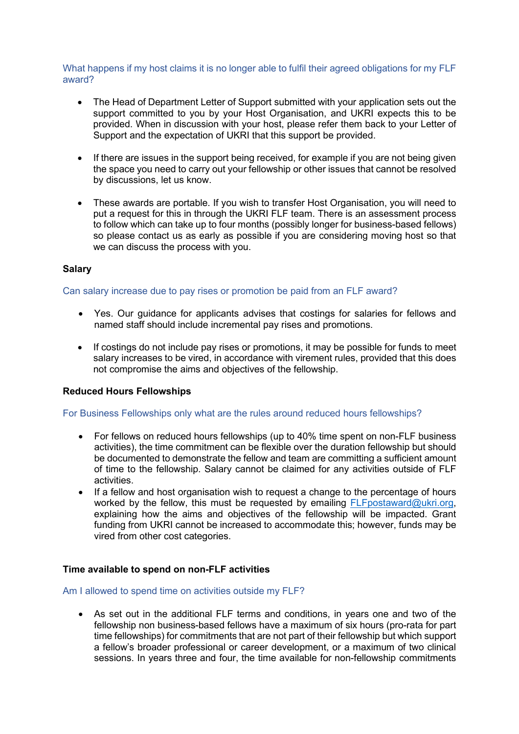What happens if my host claims it is no longer able to fulfil their agreed obligations for my FLF award?

- The Head of Department Letter of Support submitted with your application sets out the support committed to you by your Host Organisation, and UKRI expects this to be provided. When in discussion with your host, please refer them back to your Letter of Support and the expectation of UKRI that this support be provided.
- If there are issues in the support being received, for example if you are not being given the space you need to carry out your fellowship or other issues that cannot be resolved by discussions, let us know.
- These awards are portable. If you wish to transfer Host Organisation, you will need to put a request for this in through the UKRI FLF team. There is an assessment process to follow which can take up to four months (possibly longer for business-based fellows) so please contact us as early as possible if you are considering moving host so that we can discuss the process with you.

## <span id="page-6-0"></span>**Salary**

#### Can salary increase due to pay rises or promotion be paid from an FLF award?

- Yes. Our guidance for applicants advises that costings for salaries for fellows and named staff should include incremental pay rises and promotions.
- If costings do not include pay rises or promotions, it may be possible for funds to meet salary increases to be vired, in accordance with virement rules, provided that this does not compromise the aims and objectives of the fellowship.

#### **Reduced Hours Fellowships**

#### For Business Fellowships only what are the rules around reduced hours fellowships?

- For fellows on reduced hours fellowships (up to 40% time spent on non-FLF business activities), the time commitment can be flexible over the duration fellowship but should be documented to demonstrate the fellow and team are committing a sufficient amount of time to the fellowship. Salary cannot be claimed for any activities outside of FLF activities.
- If a fellow and host organisation wish to request a change to the percentage of hours worked by the fellow, this must be requested by emailing [FLFpostaward@ukri.org,](mailto:FLFpostaward@ukri.org) explaining how the aims and objectives of the fellowship will be impacted. Grant funding from UKRI cannot be increased to accommodate this; however, funds may be vired from other cost categories.

#### <span id="page-6-1"></span>**Time available to spend on non-FLF activities**

#### Am I allowed to spend time on activities outside my FLF?

• As set out in the additional FLF terms and conditions, in years one and two of the fellowship non business-based fellows have a maximum of six hours (pro-rata for part time fellowships) for commitments that are not part of their fellowship but which support a fellow's broader professional or career development, or a maximum of two clinical sessions. In years three and four, the time available for non-fellowship commitments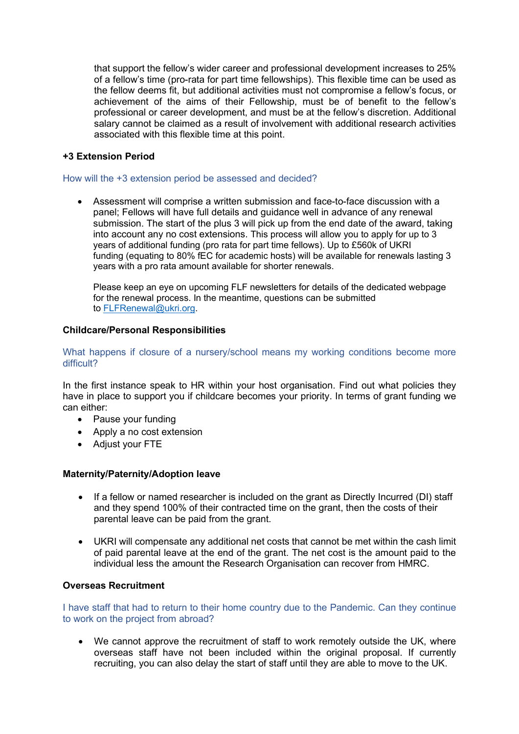that support the fellow's wider career and professional development increases to 25% of a fellow's time (pro-rata for part time fellowships). This flexible time can be used as the fellow deems fit, but additional activities must not compromise a fellow's focus, or achievement of the aims of their Fellowship, must be of benefit to the fellow's professional or career development, and must be at the fellow's discretion. Additional salary cannot be claimed as a result of involvement with additional research activities associated with this flexible time at this point.

### <span id="page-7-0"></span>**+3 Extension Period**

#### How will the +3 extension period be assessed and decided?

• Assessment will comprise a written submission and face-to-face discussion with a panel; Fellows will have full details and guidance well in advance of any renewal submission. The start of the plus 3 will pick up from the end date of the award, taking into account any no cost extensions. This process will allow you to apply for up to 3 years of additional funding (pro rata for part time fellows). Up to £560k of UKRI funding (equating to 80% fEC for academic hosts) will be available for renewals lasting 3 years with a pro rata amount available for shorter renewals.

Please keep an eye on upcoming FLF newsletters for details of the dedicated webpage for the renewal process. In the meantime, questions can be submitted to [FLFRenewal@ukri.org.](mailto:FLFRenewal@ukri.org)

#### <span id="page-7-1"></span>**Childcare/Personal Responsibilities**

#### What happens if closure of a nursery/school means my working conditions become more difficult?

In the first instance speak to HR within your host organisation. Find out what policies they have in place to support you if childcare becomes your priority. In terms of grant funding we can either:

- Pause your funding
- Apply a no cost extension
- Adjust your FTE

#### <span id="page-7-2"></span>**Maternity/Paternity/Adoption leave**

- If a fellow or named researcher is included on the grant as Directly Incurred (DI) staff and they spend 100% of their contracted time on the grant, then the costs of their parental leave can be paid from the grant.
- UKRI will compensate any additional net costs that cannot be met within the cash limit of paid parental leave at the end of the grant. The net cost is the amount paid to the individual less the amount the Research Organisation can recover from HMRC.

#### <span id="page-7-3"></span>**Overseas Recruitment**

I have staff that had to return to their home country due to the Pandemic. Can they continue to work on the project from abroad?

• We cannot approve the recruitment of staff to work remotely outside the UK, where overseas staff have not been included within the original proposal. If currently recruiting, you can also delay the start of staff until they are able to move to the UK.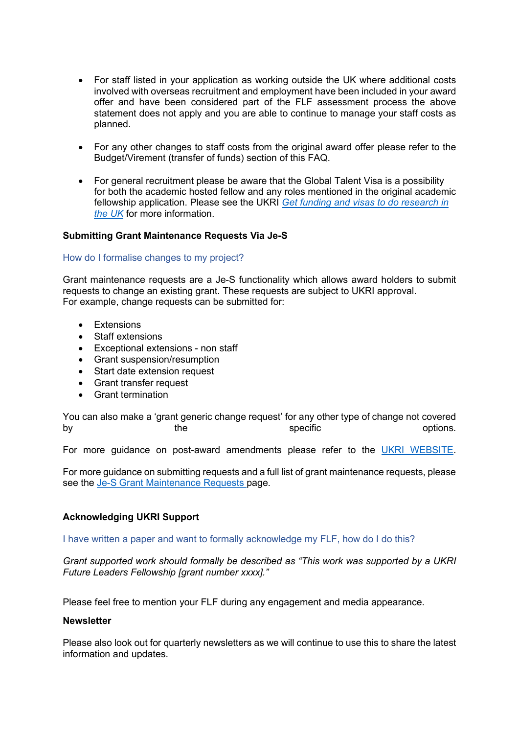- For staff listed in your application as working outside the UK where additional costs involved with overseas recruitment and employment have been included in your award offer and have been considered part of the FLF assessment process the above statement does not apply and you are able to continue to manage your staff costs as planned.
- For any other changes to staff costs from the original award offer please refer to the Budget/Virement (transfer of funds) section of this FAQ.
- For general recruitment please be aware that the Global Talent Visa is a possibility for both the academic hosted fellow and any roles mentioned in the original academic fellowship application. Please see the UKRI *[Get funding and visas to do research in](https://www.ukri.org/our-work/collaborating-internationally/get-funding-and-visas-to-do-research-in-the-uk/)  [the UK](https://www.ukri.org/our-work/collaborating-internationally/get-funding-and-visas-to-do-research-in-the-uk/)* for more information.

#### <span id="page-8-0"></span>**Submitting Grant Maintenance Requests Via Je-S**

#### How do I formalise changes to my project?

Grant maintenance requests are a Je-S functionality which allows award holders to submit requests to change an existing grant. These requests are subject to UKRI approval. For example, change requests can be submitted for:

- Extensions
- Staff extensions
- Exceptional extensions non staff
- Grant suspension/resumption
- Start date extension request
- Grant transfer request
- Grant termination

You can also make a 'grant generic change request' for any other type of change not covered by the the specific specific the options.

For more guidance on post-award amendments please refer to the [UKRI WEBSITE.](https://www.ukri.org/)

For more guidance on submitting requests and a full list of grant maintenance requests, please see the [Je-S Grant Maintenance Requests p](https://je-s.rcuk.ac.uk/Handbook/pages/Grant_Maintenance_Requests.htm)age.

#### <span id="page-8-1"></span>**Acknowledging UKRI Support**

I have written a paper and want to formally acknowledge my FLF, how do I do this?

*Grant supported work should formally be described as "This work was supported by a UKRI Future Leaders Fellowship [grant number xxxx]."*

Please feel free to mention your FLF during any engagement and media appearance.

#### <span id="page-8-2"></span>**Newsletter**

Please also look out for quarterly newsletters as we will continue to use this to share the latest information and updates.